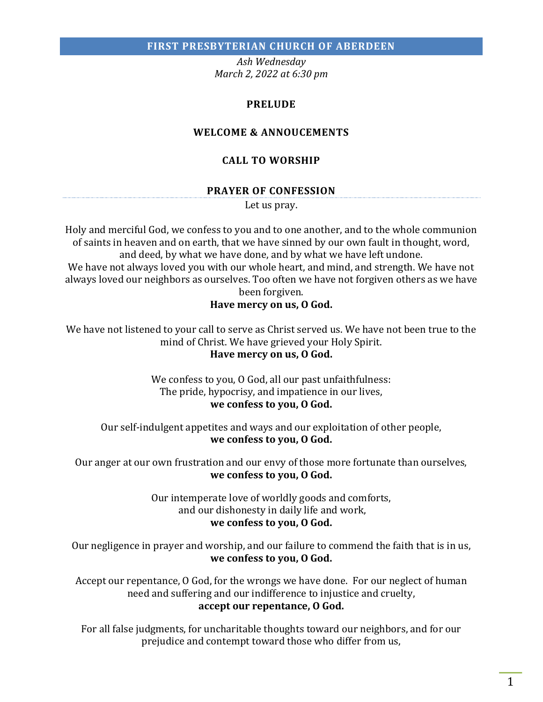### **FIRST PRESBYTERIAN CHURCH OF ABERDEEN**

*Ash Wednesday March 2, 2022 at 6:30 pm*

# **PRELUDE**

# **WELCOME & ANNOUCEMENTS**

# **CALL TO WORSHIP**

## **PRAYER OF CONFESSION**

Let us pray.

Holy and merciful God, we confess to you and to one another, and to the whole communion of saints in heaven and on earth, that we have sinned by our own fault in thought, word, and deed, by what we have done, and by what we have left undone. We have not always loved you with our whole heart, and mind, and strength. We have not always loved our neighbors as ourselves. Too often we have not forgiven others as we have been forgiven.

## **Have mercy on us, O God.**

We have not listened to your call to serve as Christ served us. We have not been true to the mind of Christ. We have grieved your Holy Spirit. **Have mercy on us, O God.**

> We confess to you, O God, all our past unfaithfulness: The pride, hypocrisy, and impatience in our lives, **we confess to you, O God.**

Our self-indulgent appetites and ways and our exploitation of other people, **we confess to you, O God.**

Our anger at our own frustration and our envy of those more fortunate than ourselves, **we confess to you, O God.**

> Our intemperate love of worldly goods and comforts, and our dishonesty in daily life and work, **we confess to you, O God.**

Our negligence in prayer and worship, and our failure to commend the faith that is in us, **we confess to you, O God.**

Accept our repentance, O God, for the wrongs we have done. For our neglect of human need and suffering and our indifference to injustice and cruelty, **accept our repentance, O God.**

For all false judgments, for uncharitable thoughts toward our neighbors, and for our prejudice and contempt toward those who differ from us,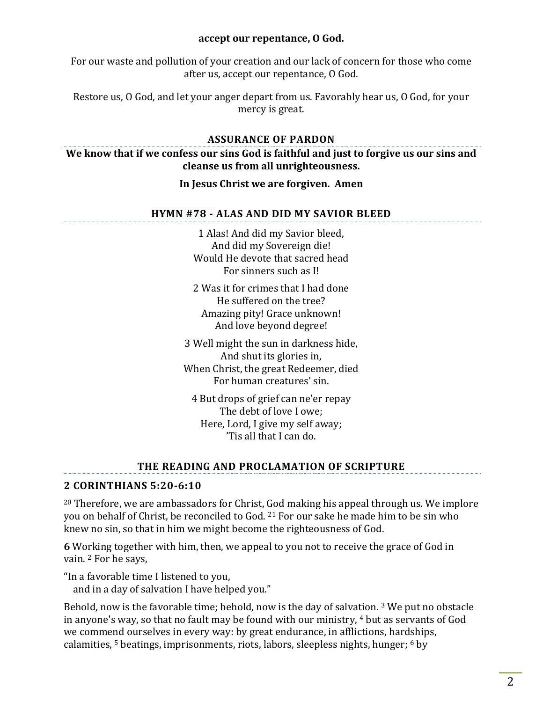# **accept our repentance, O God.**

For our waste and pollution of your creation and our lack of concern for those who come after us, accept our repentance, O God.

Restore us, O God, and let your anger depart from us. Favorably hear us, O God, for your mercy is great.

# **ASSURANCE OF PARDON**

## **We know that if we confess our sins God is faithful and just to forgive us our sins and cleanse us from all unrighteousness.**

## **In Jesus Christ we are forgiven. Amen**

#### **HYMN #78 - ALAS AND DID MY SAVIOR BLEED**

1 Alas! And did my Savior bleed, And did my Sovereign die! Would He devote that sacred head For sinners such as I!

2 Was it for crimes that I had done He suffered on the tree? Amazing pity! Grace unknown! And love beyond degree!

3 Well might the sun in darkness hide, And shut its glories in, When Christ, the great Redeemer, died For human creatures' sin.

4 But drops of grief can ne'er repay The debt of love I owe; Here, Lord, I give my self away; 'Tis all that I can do.

#### **THE READING AND PROCLAMATION OF SCRIPTURE**

# **2 CORINTHIANS 5:20-6:10**

<sup>20</sup> Therefore, we are ambassadors for Christ, God making his appeal through us. We implore you on behalf of Christ, be reconciled to God. <sup>21</sup> For our sake he made him to be sin who knew no sin, so that in him we might become the righteousness of God.

**6** Working together with him, then, we appeal to you not to receive the grace of God in vain. <sup>2</sup> For he says,

"In a favorable time I listened to you,

and in a day of salvation I have helped you."

Behold, now is the favorable time; behold, now is the day of salvation. <sup>3</sup> We put no obstacle in anyone's way, so that no fault may be found with our ministry, <sup>4</sup> but as servants of God we commend ourselves in every way: by great endurance, in afflictions, hardships, calamities, <sup>5</sup> beatings, imprisonments, riots, labors, sleepless nights, hunger; <sup>6</sup> by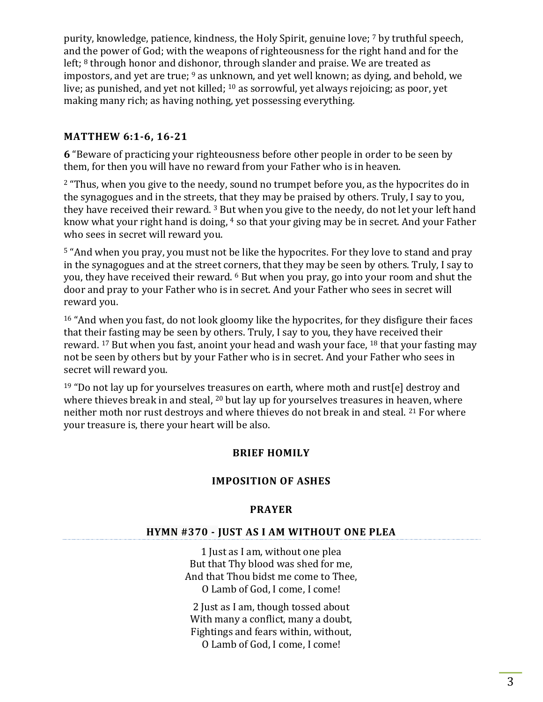purity, knowledge, patience, kindness, the Holy Spirit, genuine love; <sup>7</sup> by truthful speech, and the power of God; with the weapons of righteousness for the right hand and for the left; <sup>8</sup> through honor and dishonor, through slander and praise. We are treated as impostors, and yet are true;  $9$  as unknown, and yet well known; as dying, and behold, we live; as punished, and yet not killed; <sup>10</sup> as sorrowful, yet always rejoicing; as poor, yet making many rich; as having nothing, yet possessing everything.

# **MATTHEW 6:1-6, 16-21**

**6** "Beware of practicing your righteousness before other people in order to be seen by them, for then you will have no reward from your Father who is in heaven.

<sup>2</sup> "Thus, when you give to the needy, sound no trumpet before you, as the hypocrites do in the synagogues and in the streets, that they may be praised by others. Truly, I say to you, they have received their reward. <sup>3</sup> But when you give to the needy, do not let your left hand know what your right hand is doing, 4 so that your giving may be in secret. And your Father who sees in secret will reward you.

<sup>5</sup> "And when you pray, you must not be like the hypocrites. For they love to stand and pray in the synagogues and at the street corners, that they may be seen by others. Truly, I say to you, they have received their reward. <sup>6</sup> But when you pray, go into your room and shut the door and pray to your Father who is in secret. And your Father who sees in secret will reward you.

<sup>16</sup> "And when you fast, do not look gloomy like the hypocrites, for they disfigure their faces that their fasting may be seen by others. Truly, I say to you, they have received their reward. <sup>17</sup> But when you fast, anoint your head and wash your face, <sup>18</sup> that your fasting may not be seen by others but by your Father who is in secret. And your Father who sees in secret will reward you.

<sup>19</sup> "Do not lay up for yourselves treasures on earth, where moth and rust[\[e\]](https://www.biblegateway.com/passage/?search=Matthew+6&version=ESV#fen-ESV-23302e) destroy and where thieves break in and steal, <sup>20</sup> but lay up for yourselves treasures in heaven, where neither moth nor rust destroys and where thieves do not break in and steal. <sup>21</sup> For where your treasure is, there your heart will be also.

# **BRIEF HOMILY**

# **IMPOSITION OF ASHES**

#### **PRAYER**

#### **HYMN #370 - JUST AS I AM WITHOUT ONE PLEA**

1 Just as I am, without one plea But that Thy blood was shed for me, And that Thou bidst me come to Thee, O Lamb of God, I come, I come!

2 Just as I am, though tossed about With many a conflict, many a doubt, Fightings and fears within, without, O Lamb of God, I come, I come!